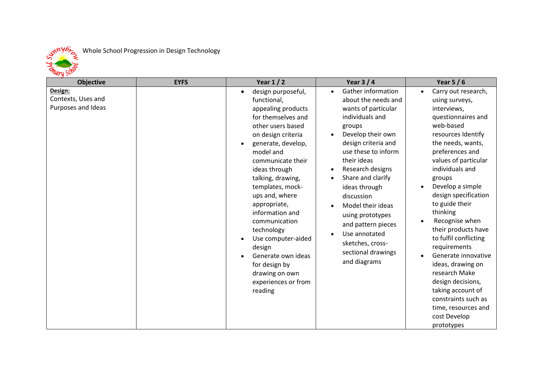

## Whole School Progression in Design Technology

| . и -<br><b>Objective</b>                           | <b>EYFS</b> | Year $1/2$                                                                                                                                                                                                                                                                                                                                                                                                                                                                                       | Year $3/4$                                                                                                                                                                                                                                                                                                                                                                                                                                                                      | Year $5/6$                                                                                                                                                                                                                                                                                                                                                                                                                                                                                                                                                                                      |
|-----------------------------------------------------|-------------|--------------------------------------------------------------------------------------------------------------------------------------------------------------------------------------------------------------------------------------------------------------------------------------------------------------------------------------------------------------------------------------------------------------------------------------------------------------------------------------------------|---------------------------------------------------------------------------------------------------------------------------------------------------------------------------------------------------------------------------------------------------------------------------------------------------------------------------------------------------------------------------------------------------------------------------------------------------------------------------------|-------------------------------------------------------------------------------------------------------------------------------------------------------------------------------------------------------------------------------------------------------------------------------------------------------------------------------------------------------------------------------------------------------------------------------------------------------------------------------------------------------------------------------------------------------------------------------------------------|
| Design:<br>Contexts, Uses and<br>Purposes and Ideas |             | design purposeful,<br>$\bullet$<br>functional,<br>appealing products<br>for themselves and<br>other users based<br>on design criteria<br>generate, develop,<br>$\bullet$<br>model and<br>communicate their<br>ideas through<br>talking, drawing,<br>templates, mock-<br>ups and, where<br>appropriate,<br>information and<br>communication<br>technology<br>Use computer-aided<br>design<br>Generate own ideas<br>$\bullet$<br>for design by<br>drawing on own<br>experiences or from<br>reading | Gather information<br>$\bullet$<br>about the needs and<br>wants of particular<br>individuals and<br>groups<br>Develop their own<br>$\bullet$<br>design criteria and<br>use these to inform<br>their ideas<br>Research designs<br>$\bullet$<br>Share and clarify<br>$\bullet$<br>ideas through<br>discussion<br>Model their ideas<br>$\bullet$<br>using prototypes<br>and pattern pieces<br>Use annotated<br>$\bullet$<br>sketches, cross-<br>sectional drawings<br>and diagrams | Carry out research,<br>$\bullet$<br>using surveys,<br>interviews,<br>questionnaires and<br>web-based<br>resources Identify<br>the needs, wants,<br>preferences and<br>values of particular<br>individuals and<br>groups<br>Develop a simple<br>$\bullet$<br>design specification<br>to guide their<br>thinking<br>Recognise when<br>$\bullet$<br>their products have<br>to fulfil conflicting<br>requirements<br>Generate innovative<br>$\bullet$<br>ideas, drawing on<br>research Make<br>design decisions,<br>taking account of<br>constraints such as<br>time, resources and<br>cost Develop |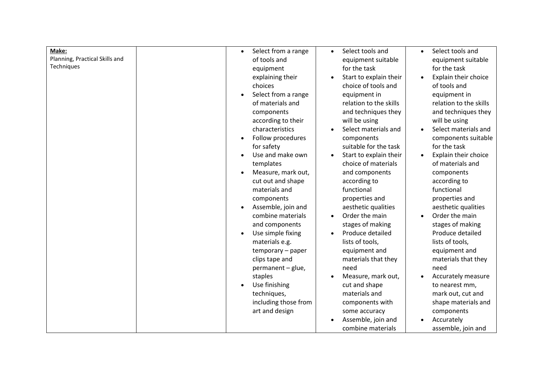| Make:<br>Planning, Practical Skills and<br>Techniques | Select from a range<br>$\bullet$<br>of tools and<br>equipment<br>explaining their<br>choices<br>Select from a range<br>of materials and<br>components<br>according to their<br>characteristics<br>Follow procedures<br>for safety<br>Use and make own<br>templates<br>Measure, mark out,<br>cut out and shape<br>materials and<br>components<br>Assemble, join and<br>combine materials<br>and components<br>Use simple fixing<br>materials e.g.<br>temporary - paper<br>clips tape and<br>permanent - glue, | Select tools and<br>$\bullet$<br>equipment suitable<br>for the task<br>Start to explain their<br>choice of tools and<br>equipment in<br>relation to the skills<br>and techniques they<br>will be using<br>Select materials and<br>components<br>suitable for the task<br>Start to explain their<br>choice of materials<br>and components<br>according to<br>functional<br>properties and<br>aesthetic qualities<br>Order the main<br>stages of making<br>Produce detailed<br>lists of tools,<br>equipment and<br>materials that they<br>need | Select tools and<br>$\bullet$<br>equipment suitable<br>for the task<br>Explain their choice<br>of tools and<br>equipment in<br>relation to the skills<br>and techniques they<br>will be using<br>Select materials and<br>components suitable<br>for the task<br>Explain their choice<br>of materials and<br>components<br>according to<br>functional<br>properties and<br>aesthetic qualities<br>Order the main<br>stages of making<br>Produce detailed<br>lists of tools,<br>equipment and<br>materials that they<br>need |
|-------------------------------------------------------|--------------------------------------------------------------------------------------------------------------------------------------------------------------------------------------------------------------------------------------------------------------------------------------------------------------------------------------------------------------------------------------------------------------------------------------------------------------------------------------------------------------|----------------------------------------------------------------------------------------------------------------------------------------------------------------------------------------------------------------------------------------------------------------------------------------------------------------------------------------------------------------------------------------------------------------------------------------------------------------------------------------------------------------------------------------------|----------------------------------------------------------------------------------------------------------------------------------------------------------------------------------------------------------------------------------------------------------------------------------------------------------------------------------------------------------------------------------------------------------------------------------------------------------------------------------------------------------------------------|
|                                                       | staples<br>Use finishing<br>techniques,<br>including those from                                                                                                                                                                                                                                                                                                                                                                                                                                              | Measure, mark out,<br>cut and shape<br>materials and<br>components with                                                                                                                                                                                                                                                                                                                                                                                                                                                                      | Accurately measure<br>to nearest mm,<br>mark out, cut and<br>shape materials and                                                                                                                                                                                                                                                                                                                                                                                                                                           |
|                                                       | art and design                                                                                                                                                                                                                                                                                                                                                                                                                                                                                               | some accuracy<br>Assemble, join and<br>combine materials                                                                                                                                                                                                                                                                                                                                                                                                                                                                                     | components<br>Accurately<br>assemble, join and                                                                                                                                                                                                                                                                                                                                                                                                                                                                             |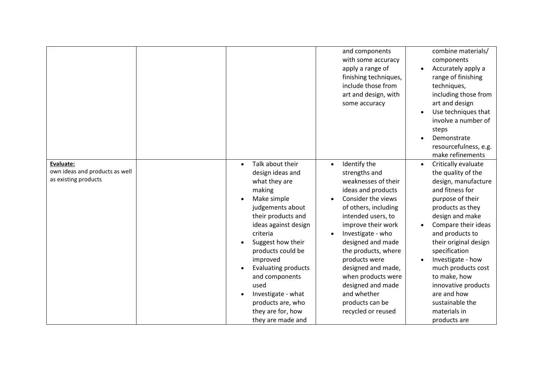|                                                                     |                                                                                                                                                                                                                                                                                                                                                                              | and components<br>with some accuracy<br>apply a range of<br>finishing techniques,<br>include those from<br>art and design, with<br>some accuracy                                                                                                                                                                                                                                                          | combine materials/<br>components<br>Accurately apply a<br>$\bullet$<br>range of finishing<br>techniques,<br>including those from<br>art and design<br>Use techniques that<br>involve a number of<br>steps<br>Demonstrate<br>resourcefulness, e.g.<br>make refinements                                                                                                                                            |
|---------------------------------------------------------------------|------------------------------------------------------------------------------------------------------------------------------------------------------------------------------------------------------------------------------------------------------------------------------------------------------------------------------------------------------------------------------|-----------------------------------------------------------------------------------------------------------------------------------------------------------------------------------------------------------------------------------------------------------------------------------------------------------------------------------------------------------------------------------------------------------|------------------------------------------------------------------------------------------------------------------------------------------------------------------------------------------------------------------------------------------------------------------------------------------------------------------------------------------------------------------------------------------------------------------|
| Evaluate:<br>own ideas and products as well<br>as existing products | Talk about their<br>$\bullet$<br>design ideas and<br>what they are<br>making<br>Make simple<br>judgements about<br>their products and<br>ideas against design<br>criteria<br>Suggest how their<br>products could be<br>improved<br><b>Evaluating products</b><br>and components<br>used<br>Investigate - what<br>products are, who<br>they are for, how<br>they are made and | Identify the<br>$\bullet$<br>strengths and<br>weaknesses of their<br>ideas and products<br>Consider the views<br>of others, including<br>intended users, to<br>improve their work<br>Investigate - who<br>$\bullet$<br>designed and made<br>the products, where<br>products were<br>designed and made,<br>when products were<br>designed and made<br>and whether<br>products can be<br>recycled or reused | Critically evaluate<br>$\bullet$<br>the quality of the<br>design, manufacture<br>and fitness for<br>purpose of their<br>products as they<br>design and make<br>Compare their ideas<br>and products to<br>their original design<br>specification<br>Investigate - how<br>$\bullet$<br>much products cost<br>to make, how<br>innovative products<br>are and how<br>sustainable the<br>materials in<br>products are |